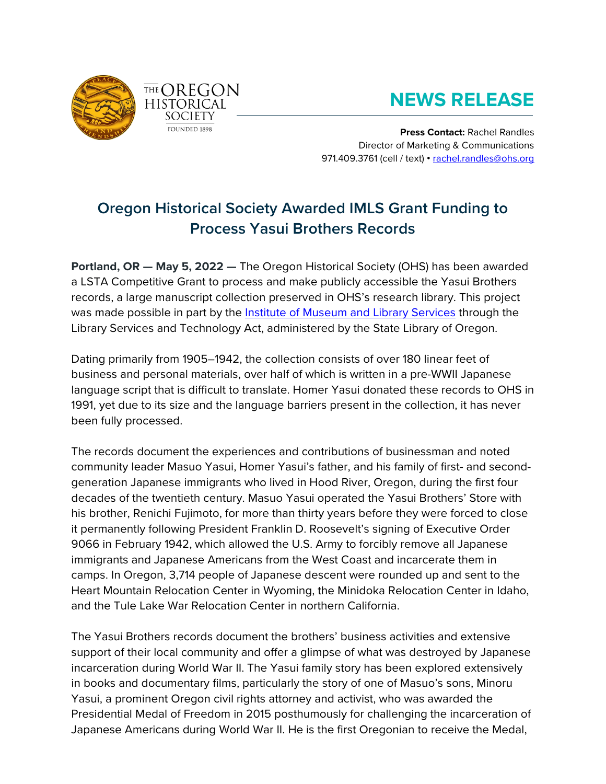

## **NEWS RELEASE**

**Press Contact:** Rachel Randles Director of Marketing & Communications 971.409.3761 (cell / text) • [rachel.randles@ohs.org](mailto:rachel.randles@ohs.org)

## **Oregon Historical Society Awarded IMLS Grant Funding to Process Yasui Brothers Records**

**Portland, OR — May 5, 2022 —** The Oregon Historical Society (OHS) has been awarded a LSTA Competitive Grant to process and make publicly accessible the Yasui Brothers records, a large manuscript collection preserved in OHS's research library. This project was made possible in part by the [Institute of Museum and Library Services](https://www.imls.gov/) through the Library Services and Technology Act, administered by the State Library of Oregon.

Dating primarily from 1905–1942, the collection consists of over 180 linear feet of business and personal materials, over half of which is written in a pre-WWII Japanese language script that is difficult to translate. Homer Yasui donated these records to OHS in 1991, yet due to its size and the language barriers present in the collection, it has never been fully processed.

The records document the experiences and contributions of businessman and noted community leader Masuo Yasui, Homer Yasui's father, and his family of first- and secondgeneration Japanese immigrants who lived in Hood River, Oregon, during the first four decades of the twentieth century. Masuo Yasui operated the Yasui Brothers' Store with his brother, Renichi Fujimoto, for more than thirty years before they were forced to close it permanently following President Franklin D. Roosevelt's signing of Executive Order 9066 in February 1942, which allowed the U.S. Army to forcibly remove all Japanese immigrants and Japanese Americans from the West Coast and incarcerate them in camps. In Oregon, 3,714 people of Japanese descent were rounded up and sent to the Heart Mountain Relocation Center in Wyoming, the Minidoka Relocation Center in Idaho, and the Tule Lake War Relocation Center in northern California.

The Yasui Brothers records document the brothers' business activities and extensive support of their local community and offer a glimpse of what was destroyed by Japanese incarceration during World War II. The Yasui family story has been explored extensively in books and documentary films, particularly the story of one of Masuo's sons, Minoru Yasui, a prominent Oregon civil rights attorney and activist, who was awarded the Presidential Medal of Freedom in 2015 posthumously for challenging the incarceration of Japanese Americans during World War II. He is the first Oregonian to receive the Medal,